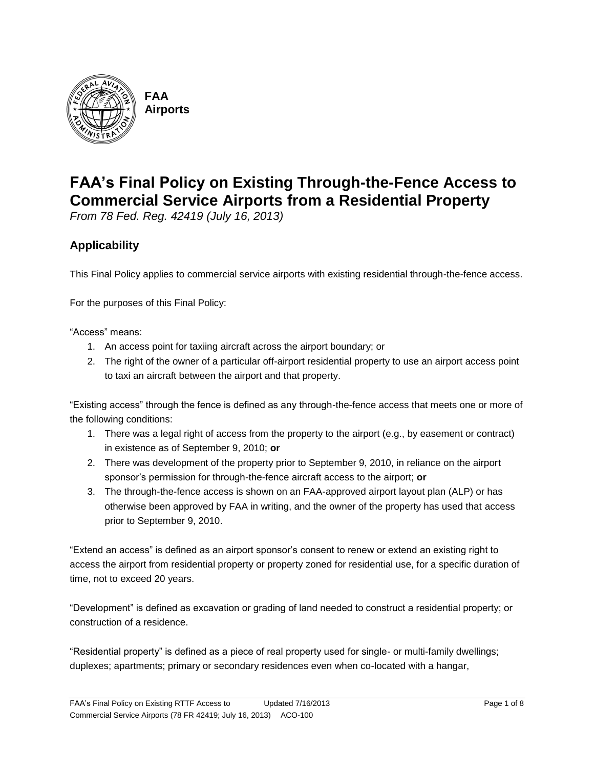

**FAA Airports**

# **FAA's Final Policy on Existing Through-the-Fence Access to Commercial Service Airports from a Residential Property**

*From 78 Fed. Reg. 42419 (July 16, 2013)*

## **Applicability**

This Final Policy applies to commercial service airports with existing residential through-the-fence access.

For the purposes of this Final Policy:

"Access" means:

- 1. An access point for taxiing aircraft across the airport boundary; or
- 2. The right of the owner of a particular off-airport residential property to use an airport access point to taxi an aircraft between the airport and that property.

"Existing access" through the fence is defined as any through-the-fence access that meets one or more of the following conditions:

- 1. There was a legal right of access from the property to the airport (e.g., by easement or contract) in existence as of September 9, 2010; **or**
- 2. There was development of the property prior to September 9, 2010, in reliance on the airport sponsor's permission for through-the-fence aircraft access to the airport; **or**
- 3. The through-the-fence access is shown on an FAA-approved airport layout plan (ALP) or has otherwise been approved by FAA in writing, and the owner of the property has used that access prior to September 9, 2010.

"Extend an access" is defined as an airport sponsor's consent to renew or extend an existing right to access the airport from residential property or property zoned for residential use, for a specific duration of time, not to exceed 20 years.

"Development" is defined as excavation or grading of land needed to construct a residential property; or construction of a residence.

"Residential property" is defined as a piece of real property used for single- or multi-family dwellings; duplexes; apartments; primary or secondary residences even when co-located with a hangar,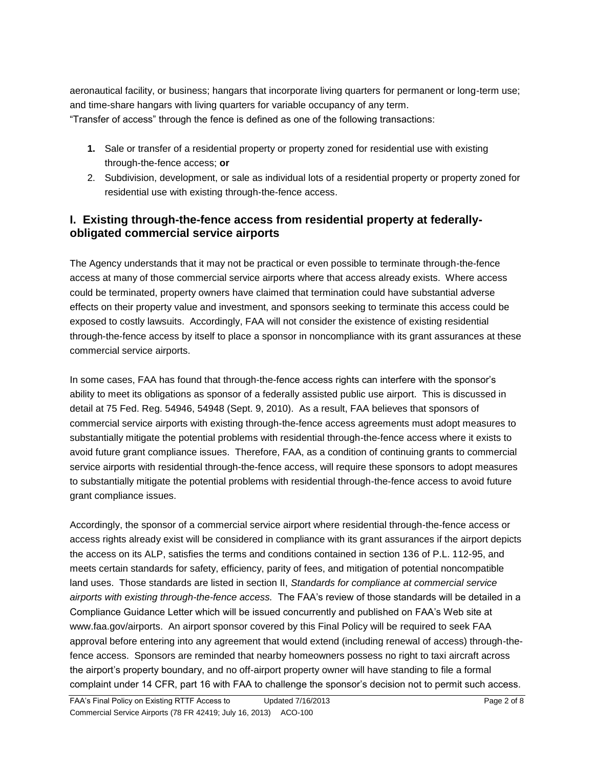aeronautical facility, or business; hangars that incorporate living quarters for permanent or long-term use; and time-share hangars with living quarters for variable occupancy of any term. "Transfer of access" through the fence is defined as one of the following transactions:

- **1.** Sale or transfer of a residential property or property zoned for residential use with existing through-the-fence access; **or**
- 2. Subdivision, development, or sale as individual lots of a residential property or property zoned for residential use with existing through-the-fence access.

## **I. Existing through-the-fence access from residential property at federallyobligated commercial service airports**

The Agency understands that it may not be practical or even possible to terminate through-the-fence access at many of those commercial service airports where that access already exists. Where access could be terminated, property owners have claimed that termination could have substantial adverse effects on their property value and investment, and sponsors seeking to terminate this access could be exposed to costly lawsuits. Accordingly, FAA will not consider the existence of existing residential through-the-fence access by itself to place a sponsor in noncompliance with its grant assurances at these commercial service airports.

In some cases, FAA has found that through-the-fence access rights can interfere with the sponsor's ability to meet its obligations as sponsor of a federally assisted public use airport. This is discussed in detail at 75 Fed. Reg. 54946, 54948 (Sept. 9, 2010). As a result, FAA believes that sponsors of commercial service airports with existing through-the-fence access agreements must adopt measures to substantially mitigate the potential problems with residential through-the-fence access where it exists to avoid future grant compliance issues. Therefore, FAA, as a condition of continuing grants to commercial service airports with residential through-the-fence access, will require these sponsors to adopt measures to substantially mitigate the potential problems with residential through-the-fence access to avoid future grant compliance issues.

Accordingly, the sponsor of a commercial service airport where residential through-the-fence access or access rights already exist will be considered in compliance with its grant assurances if the airport depicts the access on its ALP, satisfies the terms and conditions contained in section 136 of P.L. 112-95, and meets certain standards for safety, efficiency, parity of fees, and mitigation of potential noncompatible land uses. Those standards are listed in section II, *Standards for compliance at commercial service airports with existing through-the-fence access.* The FAA's review of those standards will be detailed in a Compliance Guidance Letter which will be issued concurrently and published on FAA's Web site at www.faa.gov/airports. An airport sponsor covered by this Final Policy will be required to seek FAA approval before entering into any agreement that would extend (including renewal of access) through-thefence access. Sponsors are reminded that nearby homeowners possess no right to taxi aircraft across the airport's property boundary, and no off-airport property owner will have standing to file a formal complaint under 14 CFR, part 16 with FAA to challenge the sponsor's decision not to permit such access.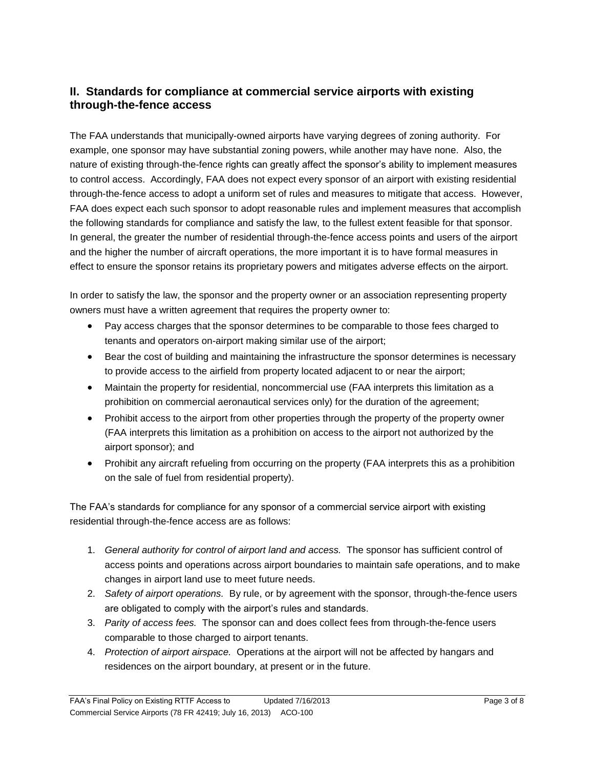## **II. Standards for compliance at commercial service airports with existing through-the-fence access**

The FAA understands that municipally-owned airports have varying degrees of zoning authority. For example, one sponsor may have substantial zoning powers, while another may have none. Also, the nature of existing through-the-fence rights can greatly affect the sponsor's ability to implement measures to control access. Accordingly, FAA does not expect every sponsor of an airport with existing residential through-the-fence access to adopt a uniform set of rules and measures to mitigate that access. However, FAA does expect each such sponsor to adopt reasonable rules and implement measures that accomplish the following standards for compliance and satisfy the law, to the fullest extent feasible for that sponsor. In general, the greater the number of residential through-the-fence access points and users of the airport and the higher the number of aircraft operations, the more important it is to have formal measures in effect to ensure the sponsor retains its proprietary powers and mitigates adverse effects on the airport.

In order to satisfy the law, the sponsor and the property owner or an association representing property owners must have a written agreement that requires the property owner to:

- Pay access charges that the sponsor determines to be comparable to those fees charged to tenants and operators on-airport making similar use of the airport;
- Bear the cost of building and maintaining the infrastructure the sponsor determines is necessary to provide access to the airfield from property located adjacent to or near the airport;
- Maintain the property for residential, noncommercial use (FAA interprets this limitation as a prohibition on commercial aeronautical services only) for the duration of the agreement;
- Prohibit access to the airport from other properties through the property of the property owner (FAA interprets this limitation as a prohibition on access to the airport not authorized by the airport sponsor); and
- Prohibit any aircraft refueling from occurring on the property (FAA interprets this as a prohibition on the sale of fuel from residential property).

The FAA's standards for compliance for any sponsor of a commercial service airport with existing residential through-the-fence access are as follows:

- 1. *General authority for control of airport land and access.* The sponsor has sufficient control of access points and operations across airport boundaries to maintain safe operations, and to make changes in airport land use to meet future needs.
- 2. *Safety of airport operations.* By rule, or by agreement with the sponsor, through-the-fence users are obligated to comply with the airport's rules and standards.
- 3. *Parity of access fees.* The sponsor can and does collect fees from through-the-fence users comparable to those charged to airport tenants.
- 4. *Protection of airport airspace.* Operations at the airport will not be affected by hangars and residences on the airport boundary, at present or in the future.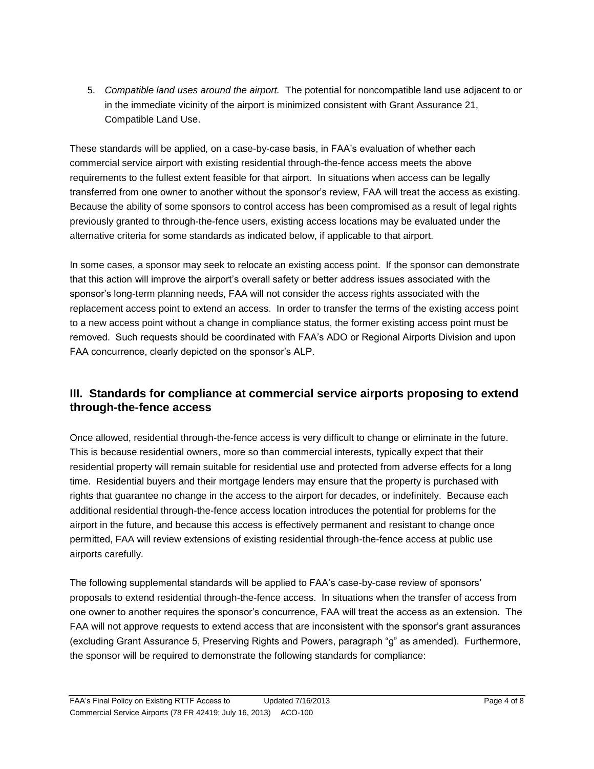5. *Compatible land uses around the airport.* The potential for noncompatible land use adjacent to or in the immediate vicinity of the airport is minimized consistent with Grant Assurance 21, Compatible Land Use.

These standards will be applied, on a case-by-case basis, in FAA's evaluation of whether each commercial service airport with existing residential through-the-fence access meets the above requirements to the fullest extent feasible for that airport. In situations when access can be legally transferred from one owner to another without the sponsor's review, FAA will treat the access as existing. Because the ability of some sponsors to control access has been compromised as a result of legal rights previously granted to through-the-fence users, existing access locations may be evaluated under the alternative criteria for some standards as indicated below, if applicable to that airport.

In some cases, a sponsor may seek to relocate an existing access point. If the sponsor can demonstrate that this action will improve the airport's overall safety or better address issues associated with the sponsor's long-term planning needs, FAA will not consider the access rights associated with the replacement access point to extend an access. In order to transfer the terms of the existing access point to a new access point without a change in compliance status, the former existing access point must be removed. Such requests should be coordinated with FAA's ADO or Regional Airports Division and upon FAA concurrence, clearly depicted on the sponsor's ALP.

## **III. Standards for compliance at commercial service airports proposing to extend through-the-fence access**

Once allowed, residential through-the-fence access is very difficult to change or eliminate in the future. This is because residential owners, more so than commercial interests, typically expect that their residential property will remain suitable for residential use and protected from adverse effects for a long time. Residential buyers and their mortgage lenders may ensure that the property is purchased with rights that guarantee no change in the access to the airport for decades, or indefinitely. Because each additional residential through-the-fence access location introduces the potential for problems for the airport in the future, and because this access is effectively permanent and resistant to change once permitted, FAA will review extensions of existing residential through-the-fence access at public use airports carefully.

The following supplemental standards will be applied to FAA's case-by-case review of sponsors' proposals to extend residential through-the-fence access. In situations when the transfer of access from one owner to another requires the sponsor's concurrence, FAA will treat the access as an extension. The FAA will not approve requests to extend access that are inconsistent with the sponsor's grant assurances (excluding Grant Assurance 5, Preserving Rights and Powers, paragraph "g" as amended). Furthermore, the sponsor will be required to demonstrate the following standards for compliance: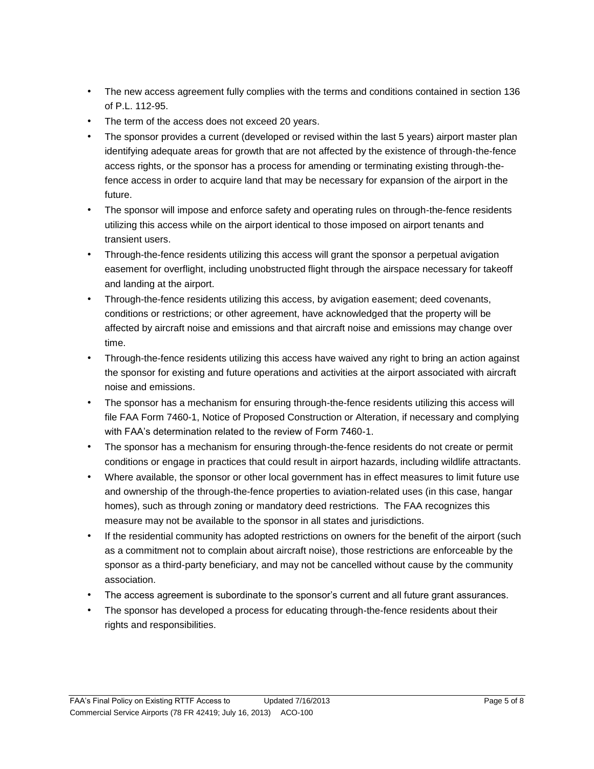- The new access agreement fully complies with the terms and conditions contained in section 136 of  $P1$  112-95.
- The term of the access does not exceed 20 years.
- The sponsor provides a current (developed or revised within the last 5 years) airport master plan identifying adequate areas for growth that are not affected by the existence of through-the-fence access rights, or the sponsor has a process for amending or terminating existing through-thefence access in order to acquire land that may be necessary for expansion of the airport in the future.
- The sponsor will impose and enforce safety and operating rules on through-the-fence residents utilizing this access while on the airport identical to those imposed on airport tenants and transient users.
- Through-the-fence residents utilizing this access will grant the sponsor a perpetual avigation easement for overflight, including unobstructed flight through the airspace necessary for takeoff and landing at the airport.
- Through-the-fence residents utilizing this access, by avigation easement; deed covenants, conditions or restrictions; or other agreement, have acknowledged that the property will be affected by aircraft noise and emissions and that aircraft noise and emissions may change over time.
- Through-the-fence residents utilizing this access have waived any right to bring an action against the sponsor for existing and future operations and activities at the airport associated with aircraft noise and emissions.
- The sponsor has a mechanism for ensuring through-the-fence residents utilizing this access will file FAA Form 7460-1, Notice of Proposed Construction or Alteration, if necessary and complying with FAA's determination related to the review of Form 7460-1.
- The sponsor has a mechanism for ensuring through-the-fence residents do not create or permit conditions or engage in practices that could result in airport hazards, including wildlife attractants.
- Where available, the sponsor or other local government has in effect measures to limit future use and ownership of the through-the-fence properties to aviation-related uses (in this case, hangar homes), such as through zoning or mandatory deed restrictions. The FAA recognizes this measure may not be available to the sponsor in all states and jurisdictions.
- If the residential community has adopted restrictions on owners for the benefit of the airport (such as a commitment not to complain about aircraft noise), those restrictions are enforceable by the sponsor as a third-party beneficiary, and may not be cancelled without cause by the community association.
- The access agreement is subordinate to the sponsor's current and all future grant assurances.
- The sponsor has developed a process for educating through-the-fence residents about their rights and responsibilities.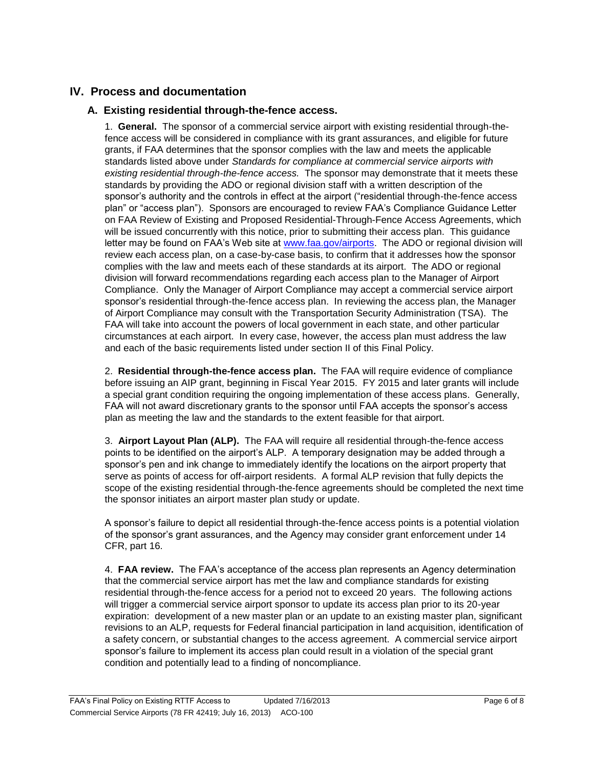### **IV. Process and documentation**

#### **A. Existing residential through-the-fence access.**

1. **General.** The sponsor of a commercial service airport with existing residential through-thefence access will be considered in compliance with its grant assurances, and eligible for future grants, if FAA determines that the sponsor complies with the law and meets the applicable standards listed above under *Standards for compliance at commercial service airports with existing residential through-the-fence access.* The sponsor may demonstrate that it meets these standards by providing the ADO or regional division staff with a written description of the sponsor's authority and the controls in effect at the airport ("residential through-the-fence access plan" or "access plan"). Sponsors are encouraged to review FAA's Compliance Guidance Letter on FAA Review of Existing and Proposed Residential-Through-Fence Access Agreements, which will be issued concurrently with this notice, prior to submitting their access plan. This guidance letter may be found on FAA's Web site at [www.faa.gov/airports.](http://www.faa.gov/airports) The ADO or regional division will review each access plan, on a case-by-case basis, to confirm that it addresses how the sponsor complies with the law and meets each of these standards at its airport. The ADO or regional division will forward recommendations regarding each access plan to the Manager of Airport Compliance. Only the Manager of Airport Compliance may accept a commercial service airport sponsor's residential through-the-fence access plan. In reviewing the access plan, the Manager of Airport Compliance may consult with the Transportation Security Administration (TSA). The FAA will take into account the powers of local government in each state, and other particular circumstances at each airport. In every case, however, the access plan must address the law and each of the basic requirements listed under section II of this Final Policy.

2. **Residential through-the-fence access plan.** The FAA will require evidence of compliance before issuing an AIP grant, beginning in Fiscal Year 2015. FY 2015 and later grants will include a special grant condition requiring the ongoing implementation of these access plans. Generally, FAA will not award discretionary grants to the sponsor until FAA accepts the sponsor's access plan as meeting the law and the standards to the extent feasible for that airport.

3. **Airport Layout Plan (ALP).** The FAA will require all residential through-the-fence access points to be identified on the airport's ALP. A temporary designation may be added through a sponsor's pen and ink change to immediately identify the locations on the airport property that serve as points of access for off-airport residents. A formal ALP revision that fully depicts the scope of the existing residential through-the-fence agreements should be completed the next time the sponsor initiates an airport master plan study or update.

A sponsor's failure to depict all residential through-the-fence access points is a potential violation of the sponsor's grant assurances, and the Agency may consider grant enforcement under 14 CFR, part 16.

4. **FAA review.** The FAA's acceptance of the access plan represents an Agency determination that the commercial service airport has met the law and compliance standards for existing residential through-the-fence access for a period not to exceed 20 years. The following actions will trigger a commercial service airport sponsor to update its access plan prior to its 20-year expiration: development of a new master plan or an update to an existing master plan, significant revisions to an ALP, requests for Federal financial participation in land acquisition, identification of a safety concern, or substantial changes to the access agreement. A commercial service airport sponsor's failure to implement its access plan could result in a violation of the special grant condition and potentially lead to a finding of noncompliance.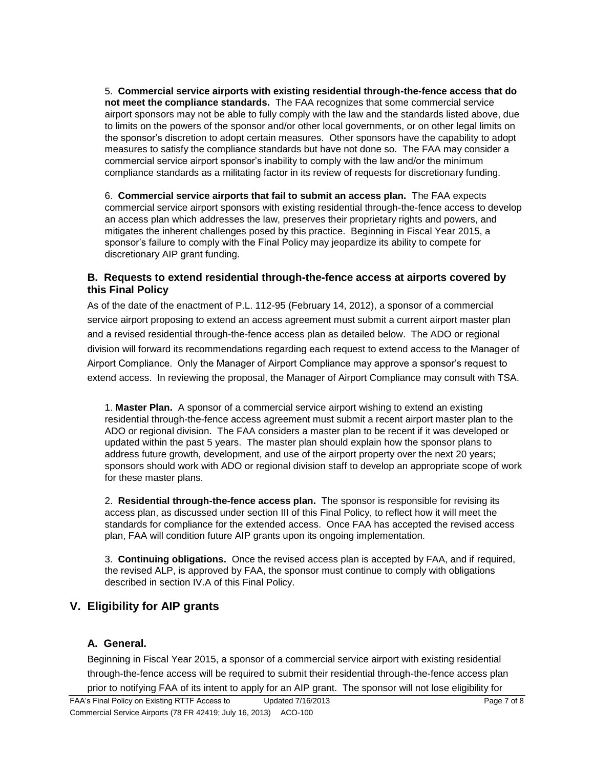5. **Commercial service airports with existing residential through-the-fence access that do not meet the compliance standards.** The FAA recognizes that some commercial service airport sponsors may not be able to fully comply with the law and the standards listed above, due to limits on the powers of the sponsor and/or other local governments, or on other legal limits on the sponsor's discretion to adopt certain measures. Other sponsors have the capability to adopt measures to satisfy the compliance standards but have not done so. The FAA may consider a commercial service airport sponsor's inability to comply with the law and/or the minimum compliance standards as a militating factor in its review of requests for discretionary funding.

6. **Commercial service airports that fail to submit an access plan.** The FAA expects commercial service airport sponsors with existing residential through-the-fence access to develop an access plan which addresses the law, preserves their proprietary rights and powers, and mitigates the inherent challenges posed by this practice. Beginning in Fiscal Year 2015, a sponsor's failure to comply with the Final Policy may jeopardize its ability to compete for discretionary AIP grant funding.

#### **B. Requests to extend residential through-the-fence access at airports covered by this Final Policy**

As of the date of the enactment of P.L. 112-95 (February 14, 2012), a sponsor of a commercial service airport proposing to extend an access agreement must submit a current airport master plan and a revised residential through-the-fence access plan as detailed below. The ADO or regional division will forward its recommendations regarding each request to extend access to the Manager of Airport Compliance. Only the Manager of Airport Compliance may approve a sponsor's request to extend access. In reviewing the proposal, the Manager of Airport Compliance may consult with TSA.

1. **Master Plan.** A sponsor of a commercial service airport wishing to extend an existing residential through-the-fence access agreement must submit a recent airport master plan to the ADO or regional division. The FAA considers a master plan to be recent if it was developed or updated within the past 5 years. The master plan should explain how the sponsor plans to address future growth, development, and use of the airport property over the next 20 years; sponsors should work with ADO or regional division staff to develop an appropriate scope of work for these master plans.

2. **Residential through-the-fence access plan.** The sponsor is responsible for revising its access plan, as discussed under section III of this Final Policy, to reflect how it will meet the standards for compliance for the extended access. Once FAA has accepted the revised access plan, FAA will condition future AIP grants upon its ongoing implementation.

3. **Continuing obligations.** Once the revised access plan is accepted by FAA, and if required, the revised ALP, is approved by FAA, the sponsor must continue to comply with obligations described in section IV.A of this Final Policy.

## **V. Eligibility for AIP grants**

#### **A. General.**

Beginning in Fiscal Year 2015, a sponsor of a commercial service airport with existing residential through-the-fence access will be required to submit their residential through-the-fence access plan prior to notifying FAA of its intent to apply for an AIP grant. The sponsor will not lose eligibility for